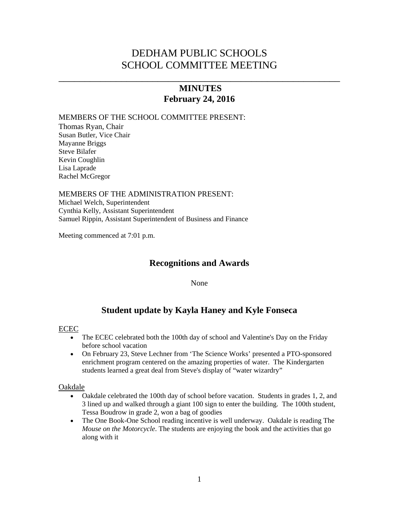# DEDHAM PUBLIC SCHOOLS SCHOOL COMMITTEE MEETING

## **MINUTES February 24, 2016**

\_\_\_\_\_\_\_\_\_\_\_\_\_\_\_\_\_\_\_\_\_\_\_\_\_\_\_\_\_\_\_\_\_\_\_\_\_\_\_\_\_\_\_\_\_\_\_\_\_\_\_\_\_\_

#### MEMBERS OF THE SCHOOL COMMITTEE PRESENT:

Thomas Ryan, Chair Susan Butler, Vice Chair Mayanne Briggs Steve Bilafer Kevin Coughlin Lisa Laprade Rachel McGregor

#### MEMBERS OF THE ADMINISTRATION PRESENT:

Michael Welch, Superintendent Cynthia Kelly, Assistant Superintendent Samuel Rippin, Assistant Superintendent of Business and Finance

Meeting commenced at 7:01 p.m.

## **Recognitions and Awards**

None

## **Student update by Kayla Haney and Kyle Fonseca**

#### ECEC

- The ECEC celebrated both the 100th day of school and Valentine's Day on the Friday before school vacation
- On February 23, Steve Lechner from 'The Science Works' presented a PTO-sponsored enrichment program centered on the amazing properties of water. The Kindergarten students learned a great deal from Steve's display of "water wizardry"

#### Oakdale

- Oakdale celebrated the 100th day of school before vacation. Students in grades 1, 2, and 3 lined up and walked through a giant 100 sign to enter the building. The 100th student, Tessa Boudrow in grade 2, won a bag of goodies
- The One Book-One School reading incentive is well underway. Oakdale is reading The *Mouse on the Motorcycle*. The students are enjoying the book and the activities that go along with it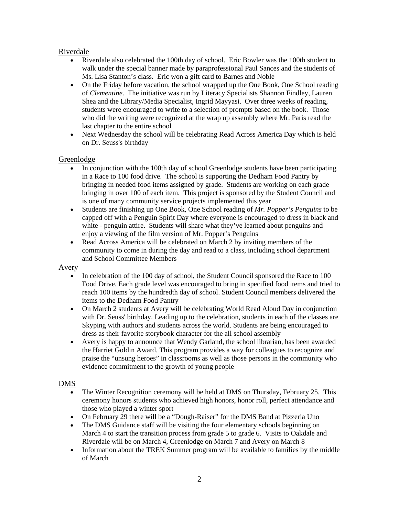## Riverdale

- Riverdale also celebrated the 100th day of school. Eric Bowler was the 100th student to walk under the special banner made by paraprofessional Paul Sances and the students of Ms. Lisa Stanton's class. Eric won a gift card to Barnes and Noble
- On the Friday before vacation, the school wrapped up the One Book, One School reading of *Clementine*. The initiative was run by Literacy Specialists Shannon Findley, Lauren Shea and the Library/Media Specialist, Ingrid Mayyasi. Over three weeks of reading, students were encouraged to write to a selection of prompts based on the book. Those who did the writing were recognized at the wrap up assembly where Mr. Paris read the last chapter to the entire school
- Next Wednesday the school will be celebrating Read Across America Day which is held on Dr. Seuss's birthday

## Greenlodge

- In conjunction with the 100th day of school Greenlodge students have been participating in a Race to 100 food drive. The school is supporting the Dedham Food Pantry by bringing in needed food items assigned by grade. Students are working on each grade bringing in over 100 of each item. This project is sponsored by the Student Council and is one of many community service projects implemented this year
- Students are finishing up One Book, One School reading of *Mr. Popper's Penguins* to be capped off with a Penguin Spirit Day where everyone is encouraged to dress in black and white - penguin attire. Students will share what they've learned about penguins and enjoy a viewing of the film version of Mr. Popper's Penguins
- Read Across America will be celebrated on March 2 by inviting members of the community to come in during the day and read to a class, including school department and School Committee Members

#### Avery

- In celebration of the 100 day of school, the Student Council sponsored the Race to 100 Food Drive. Each grade level was encouraged to bring in specified food items and tried to reach 100 items by the hundredth day of school. Student Council members delivered the items to the Dedham Food Pantry
- On March 2 students at Avery will be celebrating World Read Aloud Day in conjunction with Dr. Seuss' birthday. Leading up to the celebration, students in each of the classes are Skyping with authors and students across the world. Students are being encouraged to dress as their favorite storybook character for the all school assembly
- Avery is happy to announce that Wendy Garland, the school librarian, has been awarded the Harriet Goldin Award. This program provides a way for colleagues to recognize and praise the "unsung heroes" in classrooms as well as those persons in the community who evidence commitment to the growth of young people

## DMS

- The Winter Recognition ceremony will be held at DMS on Thursday, February 25. This ceremony honors students who achieved high honors, honor roll, perfect attendance and those who played a winter sport
- On February 29 there will be a "Dough-Raiser" for the DMS Band at Pizzeria Uno
- The DMS Guidance staff will be visiting the four elementary schools beginning on March 4 to start the transition process from grade 5 to grade 6. Visits to Oakdale and Riverdale will be on March 4, Greenlodge on March 7 and Avery on March 8
- Information about the TREK Summer program will be available to families by the middle of March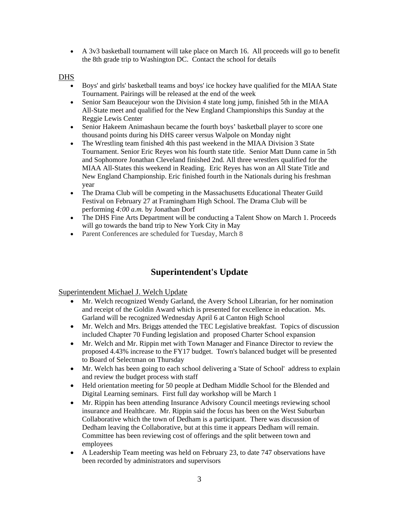• A 3v3 basketball tournament will take place on March 16. All proceeds will go to benefit the 8th grade trip to Washington DC. Contact the school for details

DHS

- Boys' and girls' basketball teams and boys' ice hockey have qualified for the MIAA State Tournament. Pairings will be released at the end of the week
- Senior Sam Beaucejour won the Division 4 state long jump, finished 5th in the MIAA All-State meet and qualified for the New England Championships this Sunday at the Reggie Lewis Center
- Senior Hakeem Animashaun became the fourth boys' basketball player to score one thousand points during his DHS career versus Walpole on Monday night
- The Wrestling team finished 4th this past weekend in the MIAA Division 3 State Tournament. Senior Eric Reyes won his fourth state title. Senior Matt Dunn came in 5th and Sophomore Jonathan Cleveland finished 2nd. All three wrestlers qualified for the MIAA All-States this weekend in Reading. Eric Reyes has won an All State Title and New England Championship. Eric finished fourth in the Nationals during his freshman year
- The Drama Club will be competing in the Massachusetts Educational Theater Guild Festival on February 27 at Framingham High School. The Drama Club will be performing *4:00 a.m.* by Jonathan Dorf
- The DHS Fine Arts Department will be conducting a Talent Show on March 1. Proceeds will go towards the band trip to New York City in May
- Parent Conferences are scheduled for Tuesday, March 8

# **Superintendent's Update**

Superintendent Michael J. Welch Update

- Mr. Welch recognized Wendy Garland, the Avery School Librarian, for her nomination and receipt of the Goldin Award which is presented for excellence in education. Ms. Garland will be recognized Wednesday April 6 at Canton High School
- Mr. Welch and Mrs. Briggs attended the TEC Legislative breakfast. Topics of discussion included Chapter 70 Funding legislation and proposed Charter School expansion
- Mr. Welch and Mr. Rippin met with Town Manager and Finance Director to review the proposed 4.43% increase to the FY17 budget. Town's balanced budget will be presented to Board of Selectman on Thursday
- Mr. Welch has been going to each school delivering a 'State of School' address to explain and review the budget process with staff
- Held orientation meeting for 50 people at Dedham Middle School for the Blended and Digital Learning seminars. First full day workshop will be March 1
- Mr. Rippin has been attending Insurance Advisory Council meetings reviewing school insurance and Healthcare. Mr. Rippin said the focus has been on the West Suburban Collaborative which the town of Dedham is a participant. There was discussion of Dedham leaving the Collaborative, but at this time it appears Dedham will remain. Committee has been reviewing cost of offerings and the split between town and employees
- A Leadership Team meeting was held on February 23, to date 747 observations have been recorded by administrators and supervisors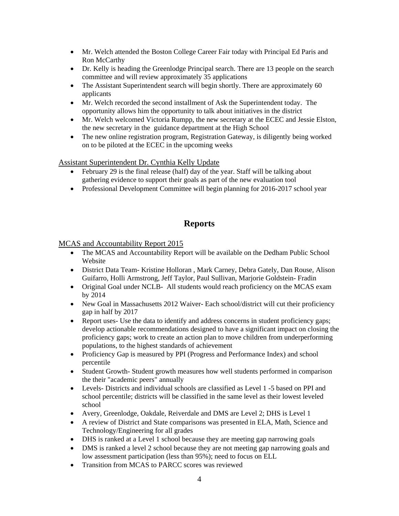- Mr. Welch attended the Boston College Career Fair today with Principal Ed Paris and Ron McCarthy
- Dr. Kelly is heading the Greenlodge Principal search. There are 13 people on the search committee and will review approximately 35 applications
- The Assistant Superintendent search will begin shortly. There are approximately 60 applicants
- Mr. Welch recorded the second installment of Ask the Superintendent today. The opportunity allows him the opportunity to talk about initiatives in the district
- Mr. Welch welcomed Victoria Rumpp, the new secretary at the ECEC and Jessie Elston, the new secretary in the guidance department at the High School
- The new online registration program, Registration Gateway, is diligently being worked on to be piloted at the ECEC in the upcoming weeks

Assistant Superintendent Dr. Cynthia Kelly Update

- February 29 is the final release (half) day of the year. Staff will be talking about gathering evidence to support their goals as part of the new evaluation tool
- Professional Development Committee will begin planning for 2016-2017 school year

# **Reports**

## MCAS and Accountability Report 2015

- The MCAS and Accountability Report will be available on the Dedham Public School Website
- District Data Team- Kristine Holloran , Mark Carney, Debra Gately, Dan Rouse, Alison Guifarro, Holli Armstrong, Jeff Taylor, Paul Sullivan, Marjorie Goldstein- Fradin
- Original Goal under NCLB- All students would reach proficiency on the MCAS exam by 2014
- New Goal in Massachusetts 2012 Waiver- Each school/district will cut their proficiency gap in half by 2017
- Report uses- Use the data to identify and address concerns in student proficiency gaps; develop actionable recommendations designed to have a significant impact on closing the proficiency gaps; work to create an action plan to move children from underperforming populations, to the highest standards of achievement
- Proficiency Gap is measured by PPI (Progress and Performance Index) and school percentile
- Student Growth- Student growth measures how well students performed in comparison the their "academic peers" annually
- Levels- Districts and individual schools are classified as Level 1 -5 based on PPI and school percentile; districts will be classified in the same level as their lowest leveled school
- Avery, Greenlodge, Oakdale, Reiverdale and DMS are Level 2; DHS is Level 1
- A review of District and State comparisons was presented in ELA, Math, Science and Technology/Engineering for all grades
- DHS is ranked at a Level 1 school because they are meeting gap narrowing goals
- DMS is ranked a level 2 school because they are not meeting gap narrowing goals and low assessment participation (less than 95%); need to focus on ELL
- Transition from MCAS to PARCC scores was reviewed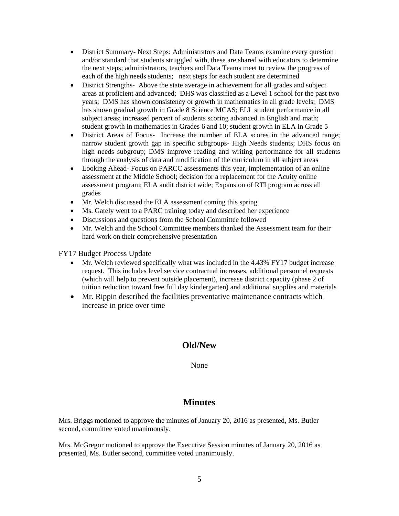- District Summary- Next Steps: Administrators and Data Teams examine every question and/or standard that students struggled with, these are shared with educators to determine the next steps; administrators, teachers and Data Teams meet to review the progress of each of the high needs students; next steps for each student are determined
- District Strengths-Above the state average in achievement for all grades and subject areas at proficient and advanced; DHS was classified as a Level 1 school for the past two years; DMS has shown consistency or growth in mathematics in all grade levels; DMS has shown gradual growth in Grade 8 Science MCAS; ELL student performance in all subject areas; increased percent of students scoring advanced in English and math; student growth in mathematics in Grades 6 and 10; student growth in ELA in Grade 5
- District Areas of Focus- Increase the number of ELA scores in the advanced range; narrow student growth gap in specific subgroups- High Needs students; DHS focus on high needs subgroup; DMS improve reading and writing performance for all students through the analysis of data and modification of the curriculum in all subject areas
- Looking Ahead-Focus on PARCC assessments this year, implementation of an online assessment at the Middle School; decision for a replacement for the Acuity online assessment program; ELA audit district wide; Expansion of RTI program across all grades
- Mr. Welch discussed the ELA assessment coming this spring
- Ms. Gately went to a PARC training today and described her experience
- Discussions and questions from the School Committee followed
- Mr. Welch and the School Committee members thanked the Assessment team for their hard work on their comprehensive presentation

FY17 Budget Process Update

- Mr. Welch reviewed specifically what was included in the 4.43% FY17 budget increase request. This includes level service contractual increases, additional personnel requests (which will help to prevent outside placement), increase district capacity (phase 2 of tuition reduction toward free full day kindergarten) and additional supplies and materials
- Mr. Rippin described the facilities preventative maintenance contracts which increase in price over time

## **Old/New**

None

## **Minutes**

Mrs. Briggs motioned to approve the minutes of January 20, 2016 as presented, Ms. Butler second, committee voted unanimously.

Mrs. McGregor motioned to approve the Executive Session minutes of January 20, 2016 as presented, Ms. Butler second, committee voted unanimously.